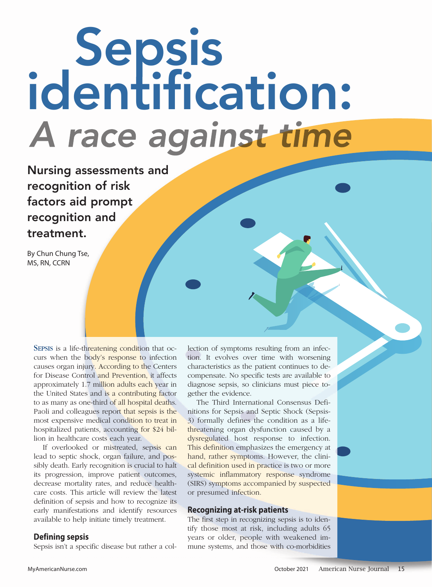# Sepsis<br>identification:<br>A race against time

Nursing assessments and recognition of risk factors aid prompt recognition and treatment.

By Chun Chung Tse, MS, RN, CCRN

SEPSIS is a life-threatening condition that occurs when the body's response to infection causes organ injury. According to the Centers for Disease Control and Prevention, it affects approximately 1.7 million adults each year in the United States and is a contributing factor to as many as one-third of all hospital deaths. Paoli and colleagues report that sepsis is the most expensive medical condition to treat in hospitalized patients, accounting for \$24 billion in healthcare costs each year.

If overlooked or mistreated, sepsis can lead to septic shock, organ failure, and possibly death. Early recognition is crucial to halt its progression, improve patient outcomes, decrease mortality rates, and reduce healthcare costs. This article will review the latest definition of sepsis and how to recognize its early manifestations and identify resources available to help initiate timely treatment.

# **Defining sepsis**

Sepsis isn't a specific disease but rather a col-

lection of symptoms resulting from an infection. It evolves over time with worsening characteristics as the patient continues to decompensate. No specific tests are available to diagnose sepsis, so clinicians must piece together the evidence.

The Third International Consensus Definitions for Sepsis and Septic Shock (Sepsis-3) formally defines the condition as a lifethreatening organ dysfunction caused by a dysregulated host response to infection. This definition emphasizes the emergency at hand, rather symptoms. However, the clinical definition used in practice is two or more systemic inflammatory response syndrome (SIRS) symptoms accompanied by suspected or presumed infection.

## **Recognizing at-risk patients**

The first step in recognizing sepsis is to identify those most at risk, including adults 65 years or older, people with weakened immune systems, and those with co-morbidities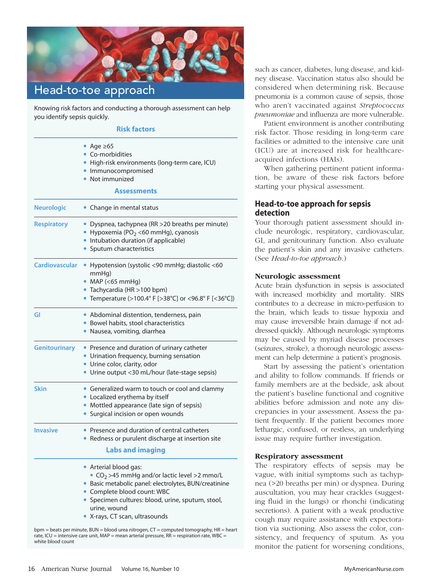

Head-to-toe approach I

Knowing risk factors and conducting a thorough assessment can help you identify sepsis quickly.

# **Risk factors**

|                       | • Age $\geq 65$<br>• Co-morbidities<br>· High-risk environments (long-term care, ICU)<br>• Immunocompromised<br>• Not immunized<br>Assessments                                                                                                                                          |
|-----------------------|-----------------------------------------------------------------------------------------------------------------------------------------------------------------------------------------------------------------------------------------------------------------------------------------|
| <b>Neurologic</b>     | • Change in mental status                                                                                                                                                                                                                                                               |
| <b>Respiratory</b>    | · Dyspnea, tachypnea (RR > 20 breaths per minute)<br>• Hypoxemia (PO <sub>2</sub> <60 mmHg), cyanosis<br>• Intubation duration (if applicable)<br>• Sputum characteristics                                                                                                              |
| <b>Cardiovascular</b> | • Hypotension (systolic <90 mmHg; diastolic <60<br>$mmHq$ )<br>$•$ MAP (<65 mmHg)<br>· Tachycardia (HR > 100 bpm)<br>• Temperature (>100.4° F [>38°C] or <96.8° F [<36°C])                                                                                                              |
| GI                    | • Abdominal distention, tenderness, pain<br>• Bowel habits, stool characteristics<br>· Nausea, vomiting, diarrhea                                                                                                                                                                       |
| <b>Genitourinary</b>  | • Presence and duration of urinary catheter<br>• Urination frequency, burning sensation<br>• Urine color, clarity, odor<br>• Urine output <30 mL/hour (late-stage sepsis)                                                                                                               |
| <b>Skin</b>           | • Generalized warm to touch or cool and clammy<br>• Localized erythema by itself<br>• Mottled appearance (late sign of sepsis)<br>• Surgical incision or open wounds                                                                                                                    |
| <b>Invasive</b>       | • Presence and duration of central catheters<br>• Redness or purulent discharge at insertion site<br><b>Labs and imaging</b>                                                                                                                                                            |
|                       | • Arterial blood gas:<br>$\degree$ CO <sub>2</sub> >45 mmHg and/or lactic level >2 mmo/L<br>· Basic metabolic panel: electrolytes, BUN/creatinine<br>• Complete blood count: WBC<br>· Specimen cultures: blood, urine, sputum, stool,<br>urine, wound<br>• X-rays, CT scan, ultrasounds |

bpm = beats per minute, BUN = blood urea nitrogen, CT = computed tomography, HR = heart rate, ICU = intensive care unit, MAP = mean arterial pressure, RR = respiration rate, WBC = white blood count

such as cancer, diabetes, lung disease, and kidney disease. Vaccination status also should be considered when determining risk. Because pneumonia is a common cause of sepsis, those who aren't vaccinated against *Streptococcus pneu moniae* and influenza are more vulnerable.

Patient environment is another contributing risk factor. Those residing in long-term care facilities or admitted to the intensive care unit (ICU) are at increased risk for healthcareacquired infections (HAIs).

When gathering pertinent patient information, be aware of these risk factors before starting your physical assessment.

# **Head-to-toe approach for sepsis detection**

Your thorough patient assessment should include neurologic, respiratory, cardiovascular, GI, and genitourinary function. Also evaluate the patient's skin and any invasive catheters. (See *Head-to-toe approach*.)

## **Neurologic assessment**

Acute brain dysfunction in sepsis is associated with increased morbidity and mortality. SIRS contributes to a decrease in micro-perfusion to the brain, which leads to tissue hypoxia and may cause irreversible brain damage if not addressed quickly. Although neurologic symptoms may be caused by myriad disease processes (seizures, stroke), a thorough neurologic assessment can help determine a patient's prognosis.

Start by assessing the patient's orientation and ability to follow commands. If friends or family members are at the bedside, ask about the patient's baseline functional and cognitive abilities before admission and note any discrepancies in your assessment. Assess the patient frequently. If the patient becomes more lethargic, confused, or restless, an underlying issue may require further investigation.

#### **Respiratory assessment**

The respiratory effects of sepsis may be vague, with initial symptoms such as tachypnea (>20 breaths per min) or dyspnea. During auscultation, you may hear crackles (suggesting fluid in the lungs) or rhonchi (indicating secretions). A patient with a weak productive cough may require assistance with expectoration via suctioning. Also assess the color, consistency, and frequency of sputum. As you monitor the patient for worsening conditions,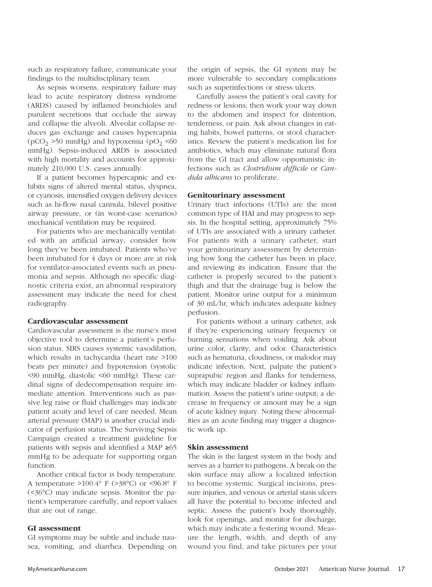such as respiratory failure, communicate your findings to the multidisciplinary team.

As sepsis worsens, respiratory failure may lead to acute respiratory distress syndrome (ARDS) caused by inflamed bronchioles and purulent secretions that occlude the airway and collapse the alveoli. Alveolar collapse reduces gas exchange and causes hypercapnia ( $pCO_2 > 50$  mmHg) and hypoxemia ( $pO_2 < 60$ mmHg). Sepsis-induced ARDS is associated with high mortality and accounts for approximately 210,000 U.S. cases annually.

If a patient becomes hypercapnic and exhibits signs of altered mental status, dyspnea, or cyanosis, intensified oxygen delivery devices such as hi-flow nasal cannula, bilevel positive airway pressure, or (in worst-case scenarios) mechanical ventilation may be required.

For patients who are mechanically ventilated with an artificial airway, consider how long they've been intubated. Patients who've been intubated for 4 days or more are at risk for ventilator-associated events such as pneumonia and sepsis. Although no specific diagnostic criteria exist, an abnormal respiratory assessment may indicate the need for chest radiography.

# **Cardiovascular assessment**

Cardiovascular assessment is the nurse's most objective tool to determine a patient's perfusion status. SIRS causes systemic vasodilation, which results in tachycardia (heart rate >100 beats per minute) and hypotension (systolic <90 mmHg, diastolic <60 mmHg). These cardinal signs of dedecompensation require immediate attention. Interventions such as passive leg raise or fluid challenges may indicate patient acuity and level of care needed. Mean arterial pressure (MAP) is another crucial indicator of perfusion status. The Surviving Sepsis Campaign created a treatment guideline for patients with sepsis and identified a MAP ≥65 mmHg to be adequate for supporting organ function.

Another critical factor is body temperature. A temperature >100.4° F (>38°C) or <96.8° F (<36°C) may indicate sepsis. Monitor the patient's temperature carefully, and report values that are out of range.

#### **GI assessment**

GI symptoms may be subtle and include nausea, vomiting, and diarrhea. Depending on

the origin of sepsis, the GI system may be more vulnerable to secondary complications such as superinfections or stress ulcers.

Carefully assess the patient's oral cavity for redness or lesions; then work your way down to the abdomen and inspect for distention, tenderness, or pain. Ask about changes in eating habits, bowel patterns, or stool characteristics. Review the patient's medication list for antibiotics, which may eliminate natural flora from the GI tract and allow opportunistic infections such as *Clostridium difficile* or *Candida albicans* to proliferate.

#### **Genitourinary assessment**

Urinary tract infections (UTIs) are the most common type of HAI and may progress to sepsis. In the hospital setting, approximately 75% of UTIs are associated with a urinary catheter. For patients with a urinary catheter, start your genitourinary assessment by determining how long the catheter has been in place, and reviewing its indication. Ensure that the catheter is properly secured to the patient's thigh and that the drainage bag is below the patient. Monitor urine output for a minimum of 30 mL/hr, which indicates adequate kidney perfusion.

For patients without a urinary catheter, ask if they're experiencing urinary frequency or burning sensations when voiding. Ask about urine color, clarity, and odor. Characteristics such as hematuria, cloudiness, or malodor may indicate infection. Next, palpate the patient's suprapubic region and flanks for tenderness, which may indicate bladder or kidney inflammation. Assess the patient's urine output; a decrease in frequency or amount may be a sign of acute kidney injury. Noting these abnormalities as an acute finding may trigger a diagnostic work up.

#### **Skin assessment**

The skin is the largest system in the body and serves as a barrier to pathogens. A break on the skin surface may allow a localized infection to become systemic. Surgical incisions, pressure injuries, and venous or arterial stasis ulcers all have the potential to become infected and septic. Assess the patient's body thoroughly, look for openings, and monitor for discharge, which may indicate a festering wound. Measure the length, width, and depth of any wound you find, and take pictures per your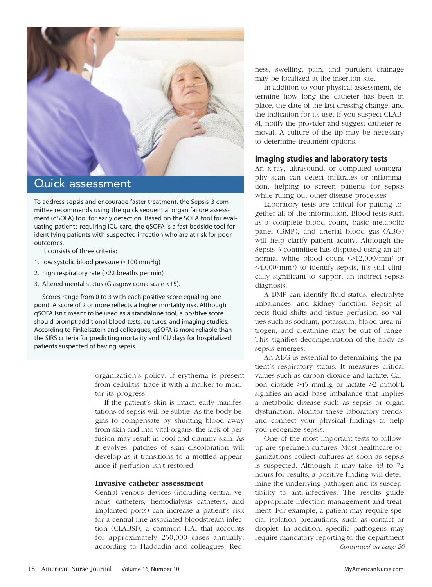

# Quick assessment

I

To address sepsis and encourage faster treatment, the Sepsis-3 committee recommends using the quick sequential organ failure assessment (qSOFA) tool for early detection. Based on the SOFA tool for evaluating patients requiring ICU care, the qSOFA is a fast bedside tool for identifying patients with suspected infection who are at risk for poor outcomes.

It consists of three criteria:

- 1. low systolic blood pressure (≤100 mmHg)
- 2. high respiratory rate (≥22 breaths per min)
- 3. Altered mental status (Glasgow coma scale <15).

Scores range from 0 to 3 with each positive score equaling one point. A score of 2 or more reflects a higher mortality risk. Although qSOFA isn't meant to be used as a standalone tool, a positive score should prompt additional blood tests, cultures, and imaging studies. According to Finkelsztein and colleagues, qSOFA is more reliable than the SIRS criteria for predicting mortality and ICU days for hospitalized patients suspected of having sepsis.

> organization's policy. If erythema is present from cellulitis, trace it with a marker to monitor its progress.

> If the patient's skin is intact, early manifestations of sepsis will be subtle. As the body begins to compensate by shunting blood away from skin and into vital organs, the lack of perfusion may result in cool and clammy skin. As it evolves, patches of skin discoloration will develop as it transitions to a mottled appearance if perfusion isn't restored.

#### **Invasive catheter assessment**

Central venous devices (including central venous catheters, hemodialysis catheters, and implanted ports) can increase a patient's risk for a central line-associated bloodstream infection (CLABSI), a common HAI that accounts for approximately 250,000 cases annually, according to Haddadin and colleagues. Redness, swelling, pain, and purulent drainage may be localized at the insertion site.

In addition to your physical assessment, determine how long the catheter has been in place, the date of the last dressing change, and the indication for its use. If you suspect CLAB-SI, notify the provider and suggest catheter removal. A culture of the tip may be necessary to determine treatment options.

## **Imaging studies and laboratory tests**

An x-ray, ultrasound, or computed tomography scan can detect infiltrates or inflammation, helping to screen patients for sepsis while ruling out other disease processes.

Laboratory tests are critical for putting together all of the information. Blood tests such as a complete blood count, basic metabolic panel (BMP), and arterial blood gas (ABG) will help clarify patient acuity. Although the Sepsis-3 committee has disputed using an abnormal white blood count (>12,000/mm3 or  $\langle 4,000 \rangle$ mm<sup>3</sup>) to identify sepsis, it's still clinically significant to support an indirect sepsis diagnosis.

A BMP can identify fluid status, electrolyte imbalances, and kidney function. Sepsis affects fluid shifts and tissue perfusion, so values such as sodium, potassium, blood urea nitrogen, and creatinine may be out of range. This signifies decompensation of the body as sepsis emerges.

An ABG is essential to determining the patient's respiratory status. It measures critical values such as carbon dioxide and lactate. Carbon dioxide >45 mmHg or lactate >2 mmol/L signifies an acid–base imbalance that implies a metabolic disease such as sepsis or organ dysfunction. Monitor these laboratory trends, and connect your physical findings to help you recognize sepsis.

One of the most important tests to followup are specimen cultures. Most healthcare organizations collect cultures as soon as sepsis is suspected. Although it may take 48 to 72 hours for results, a positive finding will determine the underlying pathogen and its susceptibility to anti-infectives. The results guide appropriate infection management and treatment. For example, a patient may require special isolation precautions, such as contact or droplet. In addition, specific pathogens may require mandatory reporting to the department *Continued on page 20*